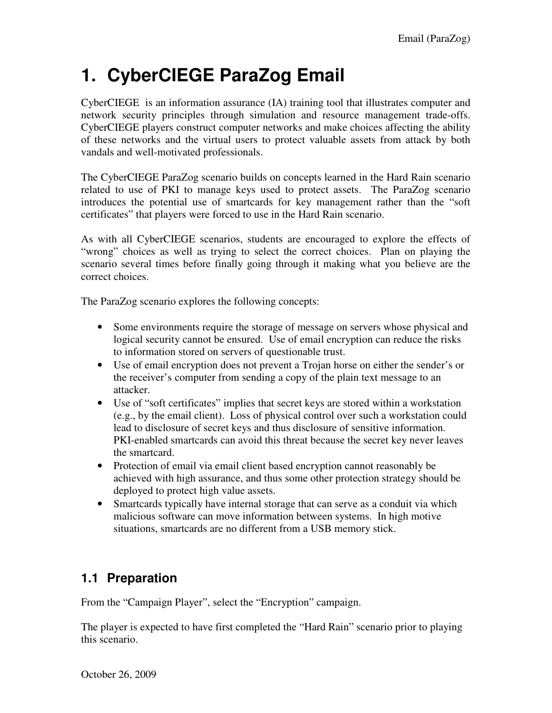# **1. CyberCIEGE ParaZog Email**

CyberCIEGE is an information assurance (IA) training tool that illustrates computer and network security principles through simulation and resource management trade-offs. CyberCIEGE players construct computer networks and make choices affecting the ability of these networks and the virtual users to protect valuable assets from attack by both vandals and well-motivated professionals.

The CyberCIEGE ParaZog scenario builds on concepts learned in the Hard Rain scenario related to use of PKI to manage keys used to protect assets. The ParaZog scenario introduces the potential use of smartcards for key management rather than the "soft certificates" that players were forced to use in the Hard Rain scenario.

As with all CyberCIEGE scenarios, students are encouraged to explore the effects of "wrong" choices as well as trying to select the correct choices. Plan on playing the scenario several times before finally going through it making what you believe are the correct choices.

The ParaZog scenario explores the following concepts:

- Some environments require the storage of message on servers whose physical and logical security cannot be ensured. Use of email encryption can reduce the risks to information stored on servers of questionable trust.
- Use of email encryption does not prevent a Trojan horse on either the sender's or the receiver's computer from sending a copy of the plain text message to an attacker.
- Use of "soft certificates" implies that secret keys are stored within a workstation (e.g., by the email client). Loss of physical control over such a workstation could lead to disclosure of secret keys and thus disclosure of sensitive information. PKI-enabled smartcards can avoid this threat because the secret key never leaves the smartcard.
- Protection of email via email client based encryption cannot reasonably be achieved with high assurance, and thus some other protection strategy should be deployed to protect high value assets.
- Smartcards typically have internal storage that can serve as a conduit via which malicious software can move information between systems. In high motive situations, smartcards are no different from a USB memory stick.

## **1.1 Preparation**

From the "Campaign Player", select the "Encryption" campaign.

The player is expected to have first completed the "Hard Rain" scenario prior to playing this scenario.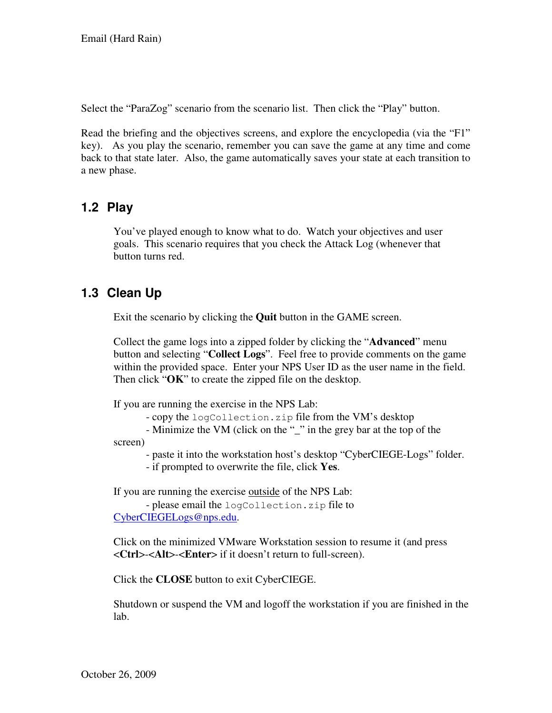Select the "ParaZog" scenario from the scenario list. Then click the "Play" button.

Read the briefing and the objectives screens, and explore the encyclopedia (via the "F1" key). As you play the scenario, remember you can save the game at any time and come back to that state later. Also, the game automatically saves your state at each transition to a new phase.

#### **1.2 Play**

You've played enough to know what to do. Watch your objectives and user goals. This scenario requires that you check the Attack Log (whenever that button turns red.

## **1.3 Clean Up**

Exit the scenario by clicking the **Quit** button in the GAME screen.

Collect the game logs into a zipped folder by clicking the "**Advanced**" menu button and selecting "**Collect Logs**". Feel free to provide comments on the game within the provided space. Enter your NPS User ID as the user name in the field. Then click "**OK**" to create the zipped file on the desktop.

If you are running the exercise in the NPS Lab:

- copy the logCollection.zip file from the VM's desktop

 - Minimize the VM (click on the "\_" in the grey bar at the top of the screen)

- paste it into the workstation host's desktop "CyberCIEGE-Logs" folder.

- if prompted to overwrite the file, click **Yes**.

If you are running the exercise outside of the NPS Lab:

 - please email the logCollection.zip file to CyberCIEGELogs@nps.edu.

Click on the minimized VMware Workstation session to resume it (and press <**Ctrl**>-<**Alt**>-<**Enter**> if it doesn't return to full-screen).

Click the **CLOSE** button to exit CyberCIEGE.

Shutdown or suspend the VM and logoff the workstation if you are finished in the lab.